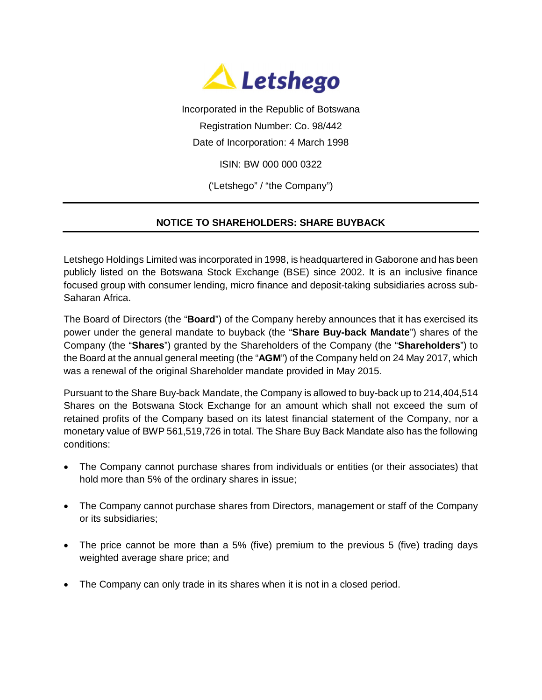

Incorporated in the Republic of Botswana Registration Number: Co. 98/442

Date of Incorporation: 4 March 1998

ISIN: BW 000 000 0322

('Letshego" / "the Company")

## **NOTICE TO SHAREHOLDERS: SHARE BUYBACK**

Letshego Holdings Limited was incorporated in 1998, is headquartered in Gaborone and has been publicly listed on the Botswana Stock Exchange (BSE) since 2002. It is an inclusive finance focused group with consumer lending, micro finance and deposit-taking subsidiaries across sub-Saharan Africa.

The Board of Directors (the "**Board**") of the Company hereby announces that it has exercised its power under the general mandate to buyback (the "**Share Buy-back Mandate**") shares of the Company (the "**Shares**") granted by the Shareholders of the Company (the "**Shareholders**") to the Board at the annual general meeting (the "**AGM**") of the Company held on 24 May 2017, which was a renewal of the original Shareholder mandate provided in May 2015.

Pursuant to the Share Buy-back Mandate, the Company is allowed to buy-back up to 214,404,514 Shares on the Botswana Stock Exchange for an amount which shall not exceed the sum of retained profits of the Company based on its latest financial statement of the Company, nor a monetary value of BWP 561,519,726 in total. The Share Buy Back Mandate also has the following conditions:

- The Company cannot purchase shares from individuals or entities (or their associates) that hold more than 5% of the ordinary shares in issue;
- The Company cannot purchase shares from Directors, management or staff of the Company or its subsidiaries;
- The price cannot be more than a 5% (five) premium to the previous 5 (five) trading days weighted average share price; and
- The Company can only trade in its shares when it is not in a closed period.